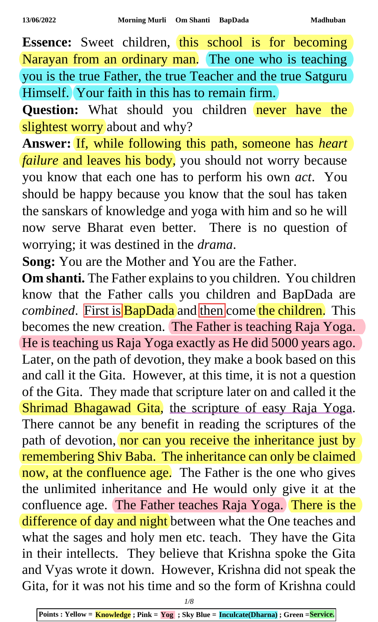Essence: Sweet children, this school is for becoming Narayan from an ordinary man. The one who is teaching you is the true Father, the true Teacher and the true Satguru Himself. Your faith in this has to remain firm.

**Question:** What should you children never have the slightest worry about and why?

**Answer:** If, while following this path, someone has *heart failure* and leaves his body, you should not worry because you know that each one has to perform his own *act*. You should be happy because you know that the soul has taken the sanskars of knowledge and yoga with him and so he will now serve Bharat even better. There is no question of worrying; it was destined in the *drama*.

**Song:** You are the Mother and You are the Father.

**Om shanti.** The Father explains to you children. You children know that the Father calls you children and BapDada are *combined.* First is **BapDada** and then come the children. This becomes the new creation. The Father is teaching Raja Yoga. He is teaching us Raja Yoga exactly as He did 5000 years ago. Later, on the path of devotion, they make a book based on this and call it the Gita. However, at this time, it is not a question of the Gita. They made that scripture later on and called it the Shrimad Bhagawad Gita, the scripture of easy Raja Yoga. There cannot be any benefit in reading the scriptures of the path of devotion, nor can you receive the inheritance just by remembering Shiv Baba. The inheritance can only be claimed now, at the confluence age. The Father is the one who gives the unlimited inheritance and He would only give it at the confluence age. The Father teaches Raja Yoga. There is the difference of day and night between what the One teaches and what the sages and holy men etc. teach. They have the Gita in their intellects. They believe that Krishna spoke the Gita and Vyas wrote it down. However, Krishna did not speak the Gita, for it was not his time and so the form of Krishna could

*1/8*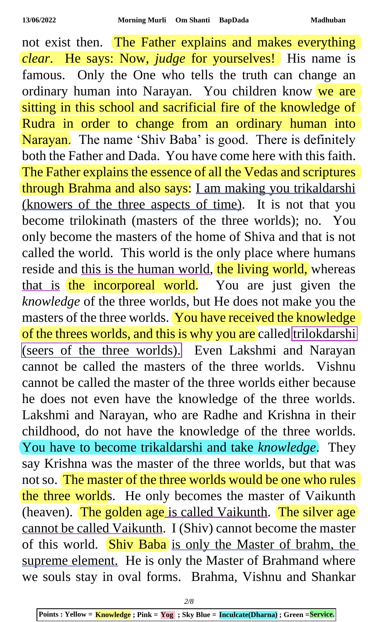not exist then. The Father explains and makes everything *clear*. He says: Now, *judge* for yourselves! His name is famous. Only the One who tells the truth can change an ordinary human into Narayan. You children know we are sitting in this school and sacrificial fire of the knowledge of Rudra in order to change from an ordinary human into Narayan. The name 'Shiv Baba' is good. There is definitely both the Father and Dada. You have come here with this faith. The Father explains the essence of all the Vedas and scriptures through Brahma and also says: I am making you trikaldarshi (knowers of the three aspects of time). It is not that you become trilokinath (masters of the three worlds); no. You only become the masters of the home of Shiva and that is not called the world. This world is the only place where humans reside and this is the human world, the living world, whereas that is the incorporeal world. You are just given the *knowledge* of the three worlds, but He does not make you the masters of the three worlds. You have received the knowledge of the threes worlds, and this is why you are called trilokdarshi (seers of the three worlds). Even Lakshmi and Narayan cannot be called the masters of the three worlds. Vishnu cannot be called the master of the three worlds either because he does not even have the knowledge of the three worlds. Lakshmi and Narayan, who are Radhe and Krishna in their childhood, do not have the knowledge of the three worlds. You have to become trikaldarshi and take *knowledge*. They say Krishna was the master of the three worlds, but that was not so. The master of the three worlds would be one who rules the three worlds. He only becomes the master of Vaikunth (heaven). The golden age is called Vaikunth. The silver age cannot be called Vaikunth. I (Shiv) cannot become the master of this world. Shiv Baba is only the Master of brahm, the supreme element. He is only the Master of Brahmand where we souls stay in oval forms. Brahma, Vishnu and Shankar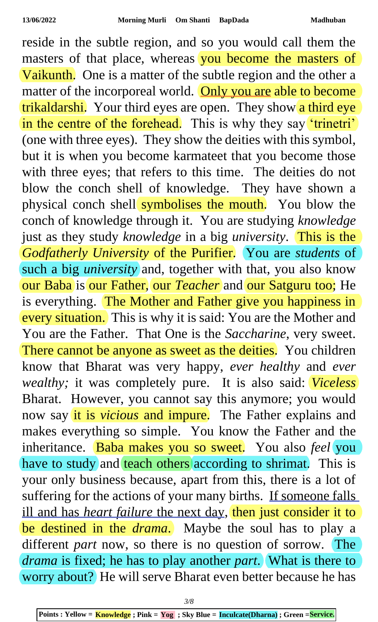reside in the subtle region, and so you would call them the masters of that place, whereas you become the masters of Vaikunth. One is a matter of the subtle region and the other a matter of the incorporeal world. Only you are able to become trikaldarshi. Your third eyes are open. They show a third eye in the centre of the forehead. This is why they say 'trinetri' (one with three eyes). They show the deities with this symbol, but it is when you become karmateet that you become those with three eyes; that refers to this time. The deities do not blow the conch shell of knowledge. They have shown a physical conch shell symbolises the mouth. You blow the conch of knowledge through it. You are studying *knowledge* just as they study *knowledge* in a big *university*. This is the *Godfatherly University* of the Purifier. You are *students* of such a big *university* and, together with that, you also know our Baba is our Father, our *Teacher* and our Satguru too; He is everything. The Mother and Father give you happiness in every situation. This is why it is said: You are the Mother and You are the Father. That One is the *Saccharine*, very sweet. There cannot be anyone as sweet as the deities. You children know that Bharat was very happy, *ever healthy* and *ever wealthy;* it was completely pure. It is also said: *Viceless* Bharat. However, you cannot say this anymore; you would now say it is *vicious* and impure. The Father explains and makes everything so simple. You know the Father and the inheritance. Baba makes you so sweet. You also *feel* you have to study and teach others according to shrimat. This is your only business because, apart from this, there is a lot of suffering for the actions of your many births. If someone falls ill and has *heart failure* the next day, then just consider it to be destined in the *drama*. Maybe the soul has to play a different *part* now, so there is no question of sorrow. The *drama* is fixed; he has to play another *part*. What is there to worry about? He will serve Bharat even better because he has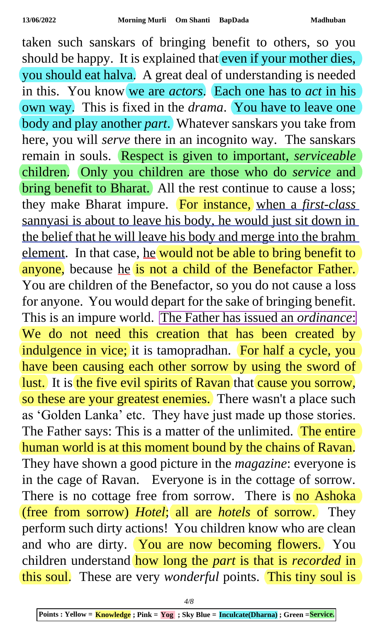taken such sanskars of bringing benefit to others, so you should be happy. It is explained that even if your mother dies, you should eat halva. A great deal of understanding is needed in this. You know we are *actors*. Each one has to *act* in his own way. This is fixed in the *drama*. You have to leave one body and play another *part*. Whatever sanskars you take from here, you will *serve* there in an incognito way. The sanskars remain in souls. Respect is given to important, *serviceable* children. Only you children are those who do *service* and bring benefit to Bharat. All the rest continue to cause a loss; they make Bharat impure. For instance, when a *first-class* sannyasi is about to leave his body, he would just sit down in the belief that he will leave his body and merge into the brahm element. In that case, he would not be able to bring benefit to anyone, because he is not a child of the Benefactor Father. You are children of the Benefactor, so you do not cause a loss for anyone. You would depart for the sake of bringing benefit. This is an impure world. The Father has issued an *ordinance*: We do not need this creation that has been created by indulgence in vice; it is tamopradhan. For half a cycle, you have been causing each other sorrow by using the sword of lust. It is the five evil spirits of Ravan that cause you sorrow, so these are your greatest enemies. There wasn't a place such as 'Golden Lanka' etc. They have just made up those stories. The Father says: This is a matter of the unlimited. The entire human world is at this moment bound by the chains of Ravan. They have shown a good picture in the *magazine*: everyone is in the cage of Ravan. Everyone is in the cottage of sorrow. There is no cottage free from sorrow. There is no Ashoka (free from sorrow) *Hotel*; all are *hotels* of sorrow. They perform such dirty actions! You children know who are clean and who are dirty. You are now becoming flowers. You children understand how long the *part* is that is *recorded* in this soul. These are very *wonderful* points. This tiny soul is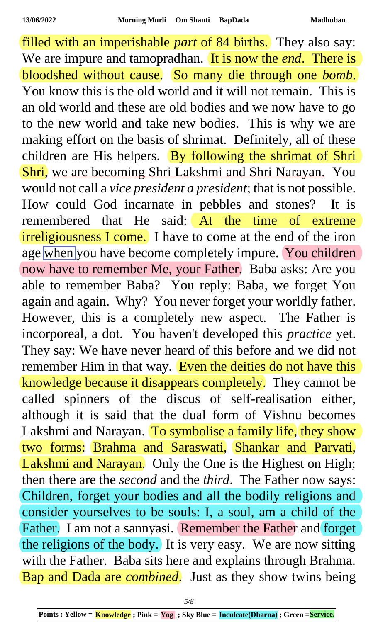filled with an imperishable *part* of 84 births. They also say: We are impure and tamopradhan. It is now the *end*. There is bloodshed without cause. So many die through one *bomb*. You know this is the old world and it will not remain. This is an old world and these are old bodies and we now have to go to the new world and take new bodies. This is why we are making effort on the basis of shrimat. Definitely, all of these children are His helpers. By following the shrimat of Shri Shri, we are becoming Shri Lakshmi and Shri Narayan. You would not call a *vice president a president*; that is not possible. How could God incarnate in pebbles and stones? It is remembered that He said: At the time of extreme irreligiousness I come. I have to come at the end of the iron age when you have become completely impure. You children now have to remember Me, your Father. Baba asks: Are you able to remember Baba? You reply: Baba, we forget You again and again. Why? You never forget your worldly father. However, this is a completely new aspect. The Father is incorporeal, a dot. You haven't developed this *practice* yet. They say: We have never heard of this before and we did not remember Him in that way. Even the deities do not have this knowledge because it disappears completely. They cannot be called spinners of the discus of self-realisation either, although it is said that the dual form of Vishnu becomes Lakshmi and Narayan. To symbolise a family life, they show two forms: Brahma and Saraswati, Shankar and Parvati, Lakshmi and Narayan. Only the One is the Highest on High; then there are the *second* and the *third*. The Father now says: Children, forget your bodies and all the bodily religions and consider yourselves to be souls: I, a soul, am a child of the Father. I am not a sannyasi. Remember the Father and forget the religions of the body. It is very easy. We are now sitting with the Father. Baba sits here and explains through Brahma. Bap and Dada are *combined*. Just as they show twins being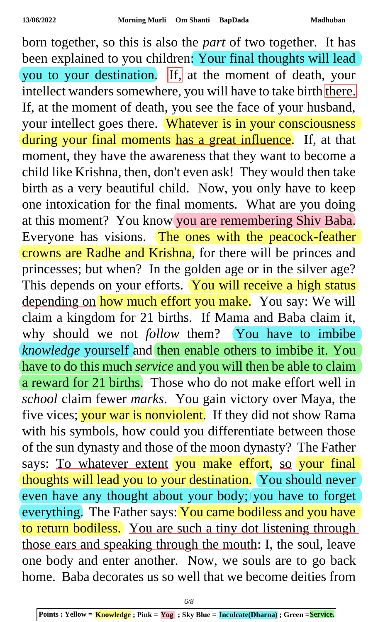born together, so this is also the *part* of two together. It has been explained to you children: Your final thoughts will lead you to your destination. If, at the moment of death, your intellect wanders somewhere, you will have to take birth there. If, at the moment of death, you see the face of your husband, your intellect goes there. Whatever is in your consciousness during your final moments has a great influence. If, at that moment, they have the awareness that they want to become a child like Krishna, then, don't even ask! They would then take birth as a very beautiful child. Now, you only have to keep one intoxication for the final moments. What are you doing at this moment? You know you are remembering Shiv Baba. Everyone has visions. The ones with the peacock-feather crowns are Radhe and Krishna, for there will be princes and princesses; but when? In the golden age or in the silver age? This depends on your efforts. You will receive a high status depending on how much effort you make. You say: We will claim a kingdom for 21 births. If Mama and Baba claim it, why should we not *follow* them? You have to imbibe *knowledge* yourself and then enable others to imbibe it. You have to do this much *service* and you will then be able to claim a reward for 21 births. Those who do not make effort well in *school* claim fewer *marks*. You gain victory over Maya, the five vices; your war is nonviolent. If they did not show Rama with his symbols, how could you differentiate between those of the sun dynasty and those of the moon dynasty? The Father says: To whatever extent you make effort, so your final thoughts will lead you to your destination. You should never even have any thought about your body; you have to forget everything. The Father says: You came bodiless and you have to return bodiless. You are such a tiny dot listening through those ears and speaking through the mouth: I, the soul, leave one body and enter another. Now, we souls are to go back home. Baba decorates us so well that we become deities from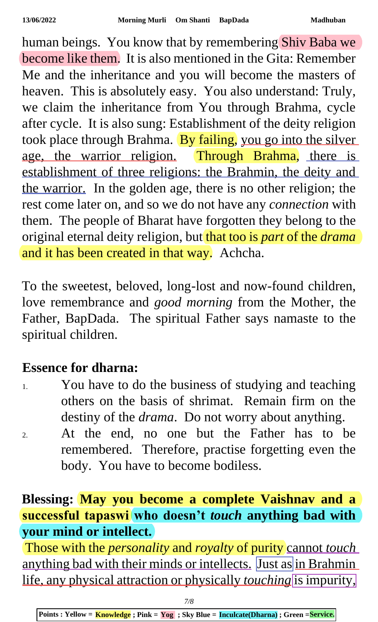human beings. You know that by remembering Shiv Baba we become like them. It is also mentioned in the Gita: Remember Me and the inheritance and you will become the masters of heaven. This is absolutely easy. You also understand: Truly, we claim the inheritance from You through Brahma, cycle after cycle. It is also sung: Establishment of the deity religion took place through Brahma. By failing, you go into the silver age, the warrior religion. Through Brahma, there is establishment of three religions: the Brahmin, the deity and the warrior. In the golden age, there is no other religion; the rest come later on, and so we do not have any *connection* with them. The people of Bharat have forgotten they belong to the original eternal deity religion, but that too is *part* of the *drama* and it has been created in that way. Achcha.

To the sweetest, beloved, long-lost and now-found children, love remembrance and *good morning* from the Mother, the Father, BapDada. The spiritual Father says namaste to the spiritual children.

## **Essence for dharna:**

- 1. You have to do the business of studying and teaching others on the basis of shrimat. Remain firm on the destiny of the *drama*. Do not worry about anything.
- 2. At the end, no one but the Father has to be remembered. Therefore, practise forgetting even the body. You have to become bodiless.

## **Blessing: May you become a complete Vaishnav and a successful tapaswi who doesn't** *touch* **anything bad with your mind or intellect.**

Those with the *personality* and *royalty* of purity cannot *touch* anything bad with their minds or intellects. Just as in Brahmin life, any physical attraction or physically *touching* is impurity,